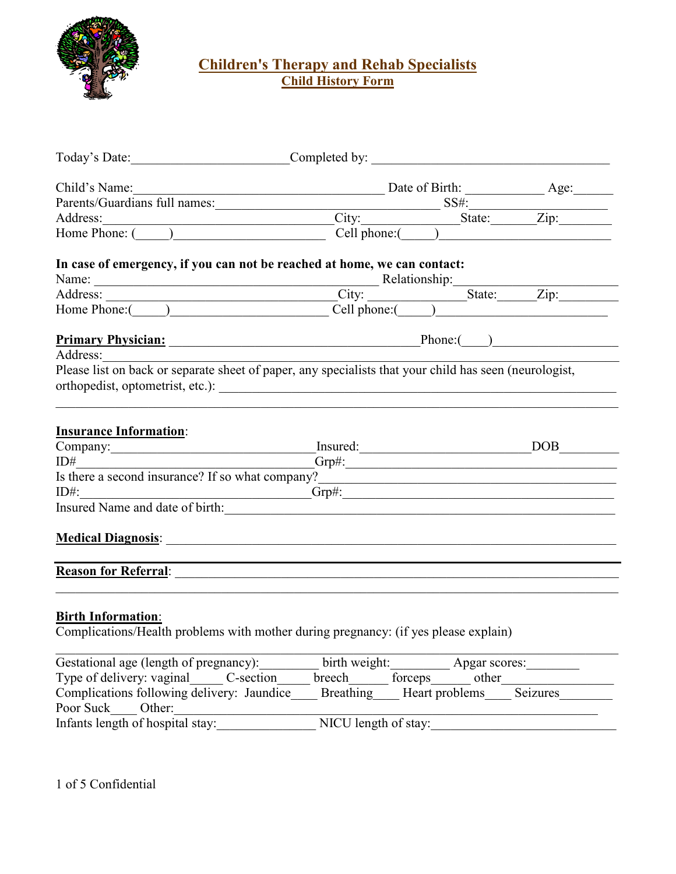

# **Children's Therapy and Rehab Specialists Child History Form**

| Today's Date: Completed by:                                                                            |                                                                                                                                                                                                                               |  |  |  |  |
|--------------------------------------------------------------------------------------------------------|-------------------------------------------------------------------------------------------------------------------------------------------------------------------------------------------------------------------------------|--|--|--|--|
| Child's Name:                                                                                          | Date of Birth: <u>Age:</u>                                                                                                                                                                                                    |  |  |  |  |
|                                                                                                        |                                                                                                                                                                                                                               |  |  |  |  |
|                                                                                                        |                                                                                                                                                                                                                               |  |  |  |  |
| Parents/Guardians full names:<br>Address: City: City: State: Zip: City: State: Zip:                    |                                                                                                                                                                                                                               |  |  |  |  |
| In case of emergency, if you can not be reached at home, we can contact:                               |                                                                                                                                                                                                                               |  |  |  |  |
|                                                                                                        |                                                                                                                                                                                                                               |  |  |  |  |
|                                                                                                        |                                                                                                                                                                                                                               |  |  |  |  |
| Name:<br>Address: City: Relationship: State: Zip: Zip:                                                 |                                                                                                                                                                                                                               |  |  |  |  |
|                                                                                                        | Primary Physician: Phone: Phone: Phone: Phone: Phone: Phone: Phone: Phone: Phone: Phone: Phone: Phone: Phone: Phone: Phone: Phone: Phone: Phone: Phone: Phone: Phone: Phone: Phone: Phone: Phone: Phone: Phone: Phone: Phone: |  |  |  |  |
|                                                                                                        |                                                                                                                                                                                                                               |  |  |  |  |
| Please list on back or separate sheet of paper, any specialists that your child has seen (neurologist, |                                                                                                                                                                                                                               |  |  |  |  |
| <b>Insurance Information:</b>                                                                          |                                                                                                                                                                                                                               |  |  |  |  |
| Company: DOB                                                                                           |                                                                                                                                                                                                                               |  |  |  |  |
|                                                                                                        | $Grp\#$ :                                                                                                                                                                                                                     |  |  |  |  |
|                                                                                                        |                                                                                                                                                                                                                               |  |  |  |  |
|                                                                                                        |                                                                                                                                                                                                                               |  |  |  |  |
|                                                                                                        |                                                                                                                                                                                                                               |  |  |  |  |
|                                                                                                        |                                                                                                                                                                                                                               |  |  |  |  |
| <b>Reason for Referral:</b>                                                                            |                                                                                                                                                                                                                               |  |  |  |  |
| <b>Birth Information:</b>                                                                              |                                                                                                                                                                                                                               |  |  |  |  |
| Complications/Health problems with mother during pregnancy: (if yes please explain)                    |                                                                                                                                                                                                                               |  |  |  |  |
| Gestational age (length of pregnancy): ________ birth weight: _________ Apgar scores: _______          |                                                                                                                                                                                                                               |  |  |  |  |
| Type of delivery: vaginal_______ C-section_______ breech_______ forceps_______ other________________   |                                                                                                                                                                                                                               |  |  |  |  |
| Complications following delivery: Jaundice____ Breathing____ Heart problems____ Seizures_              |                                                                                                                                                                                                                               |  |  |  |  |

Poor Suck\_\_\_\_ Other:\_\_\_\_\_\_\_\_\_\_\_\_\_\_\_\_\_\_\_\_\_\_\_\_\_\_\_\_\_\_\_\_\_\_\_\_\_\_\_\_\_\_\_\_\_\_\_\_\_\_\_\_\_\_\_\_\_\_\_\_\_\_\_\_ Infants length of hospital stay: NICU length of stay:

1 of 5 Confidential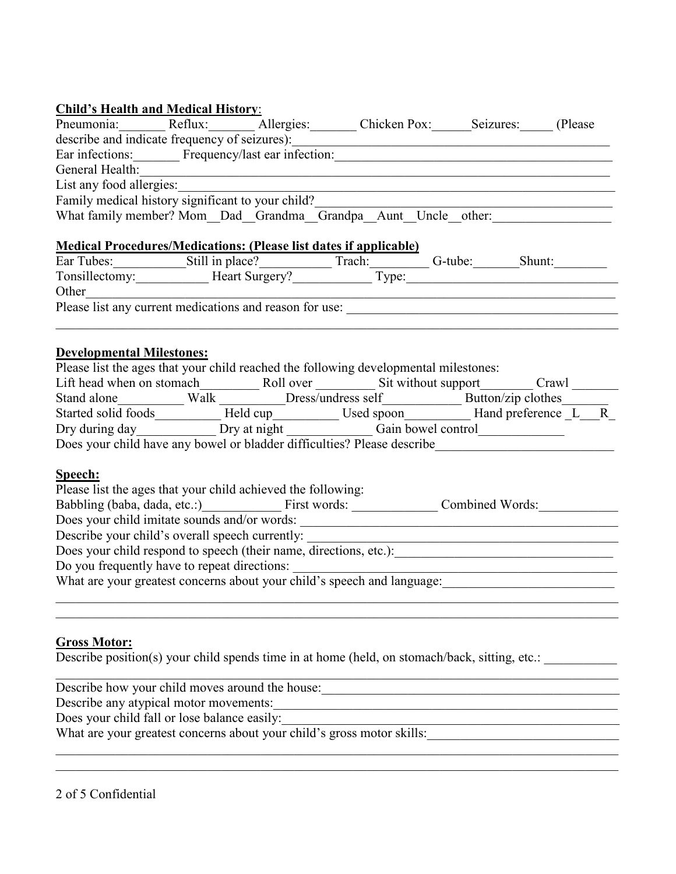## **Child's Health and Medical History**:

| Pneumonia:                                                               | Reflux: Allergies: |  | Chicken Pox: Seizures: | (Please) |
|--------------------------------------------------------------------------|--------------------|--|------------------------|----------|
| describe and indicate frequency of seizures):                            |                    |  |                        |          |
| Ear infections: Frequency/last ear infection:                            |                    |  |                        |          |
| General Health:                                                          |                    |  |                        |          |
| List any food allergies:                                                 |                    |  |                        |          |
| Family medical history significant to your child?                        |                    |  |                        |          |
| What family member? Mom Dad Grandma Grandpa Aunt Uncle other:            |                    |  |                        |          |
| <b>Medical Procedures/Medications: (Please list dates if applicable)</b> |                    |  |                        |          |
| Ear Tubes: Still in place? Trach:                                        |                    |  | G-tube:                | Shunt:   |
| Tonsillectomy: Heart Surgery? Type:                                      |                    |  |                        |          |
| Other                                                                    |                    |  |                        |          |

Please list any current medications and reason for use: \_\_\_\_\_\_\_\_\_\_\_\_\_\_\_\_\_\_\_\_\_\_\_\_\_\_\_\_\_\_\_\_\_\_\_\_\_\_\_\_\_  $\_$  , and the set of the set of the set of the set of the set of the set of the set of the set of the set of the set of the set of the set of the set of the set of the set of the set of the set of the set of the set of th

## **Developmental Milestones:**

| Please list the ages that your child reached the following developmental milestones: |              |                    |                     |                    |                     |  |
|--------------------------------------------------------------------------------------|--------------|--------------------|---------------------|--------------------|---------------------|--|
| Lift head when on stomach                                                            |              | Roll over          | Sit without support |                    | Crawl               |  |
| Stand alone                                                                          | Walk         | Dress/undress self |                     | Button/zip clothes |                     |  |
| Started solid foods                                                                  | Held cup     |                    | Used spoon          |                    | Hand preference L R |  |
| Dry during day                                                                       | Dry at night |                    | Gain bowel control  |                    |                     |  |
| Does your child have any bowel or bladder difficulties? Please describe              |              |                    |                     |                    |                     |  |

#### **Speech:**

| Please list the ages that your child achieved the following:            |                 |
|-------------------------------------------------------------------------|-----------------|
| Babbling (baba, dada, etc.:) First words:                               | Combined Words: |
| Does your child imitate sounds and/or words:                            |                 |
| Describe your child's overall speech currently:                         |                 |
| Does your child respond to speech (their name, directions, etc.):       |                 |
| Do you frequently have to repeat directions:                            |                 |
| What are your greatest concerns about your child's speech and language: |                 |
|                                                                         |                 |

 $\_$  , and the set of the set of the set of the set of the set of the set of the set of the set of the set of the set of the set of the set of the set of the set of the set of the set of the set of the set of the set of th

#### **Gross Motor:**

Describe position(s) your child spends time in at home (held, on stomach/back, sitting, etc.: \_\_\_\_\_\_\_\_\_\_\_\_\_\_\_

| Describe how your child moves around the house:                        |  |
|------------------------------------------------------------------------|--|
| Describe any atypical motor movements:                                 |  |
| Does your child fall or lose balance easily:                           |  |
| What are your greatest concerns about your child's gross motor skills: |  |

 $\_$  , and the set of the set of the set of the set of the set of the set of the set of the set of the set of the set of the set of the set of the set of the set of the set of the set of the set of the set of the set of th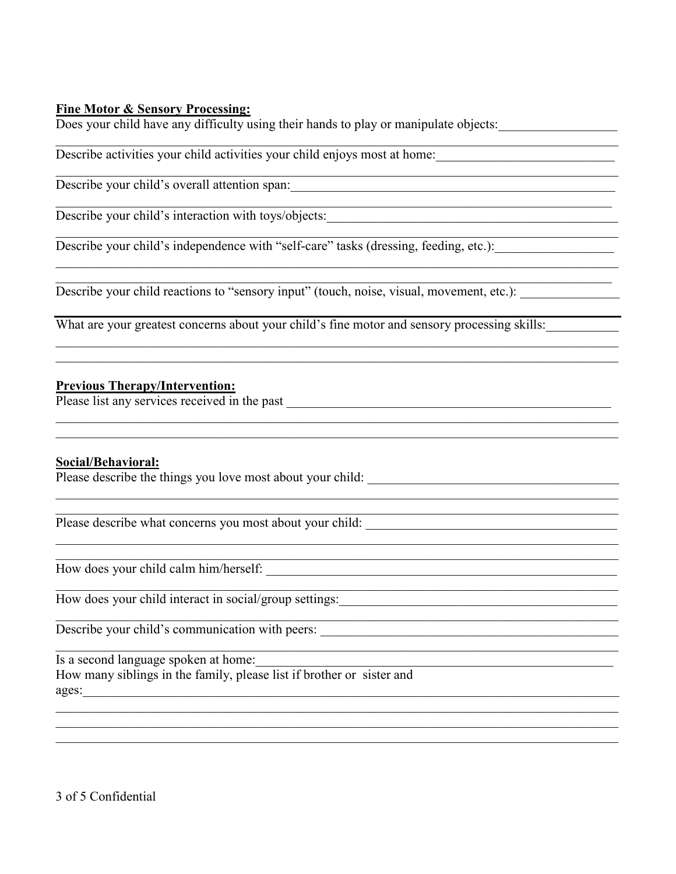### **Fine Motor & Sensory Processing:**

Does your child have any difficulty using their hands to play or manipulate objects:

Describe activities your child activities your child enjoys most at home:

Describe your child's overall attention span:

Describe your child's interaction with toys/objects:

Describe your child's independence with "self-care" tasks (dressing, feeding, etc.):

Describe your child reactions to "sensory input" (touch, noise, visual, movement, etc.):

What are your greatest concerns about your child's fine motor and sensory processing skills:

<u> 1980 - Johann Barbara, martin amerikan basal dan berasal dan berasal dalam basal dalam basal dan berasal dan</u>

## **Previous Therapy/Intervention:**

### Social/Behavioral:

Please describe the things you love most about your child:

Please describe what concerns you most about your child:

How does your child calm him/herself:

How does your child interact in social/group settings:

Describe your child's communication with peers:

Is a second language spoken at home:

How many siblings in the family, please list if brother or sister and ages: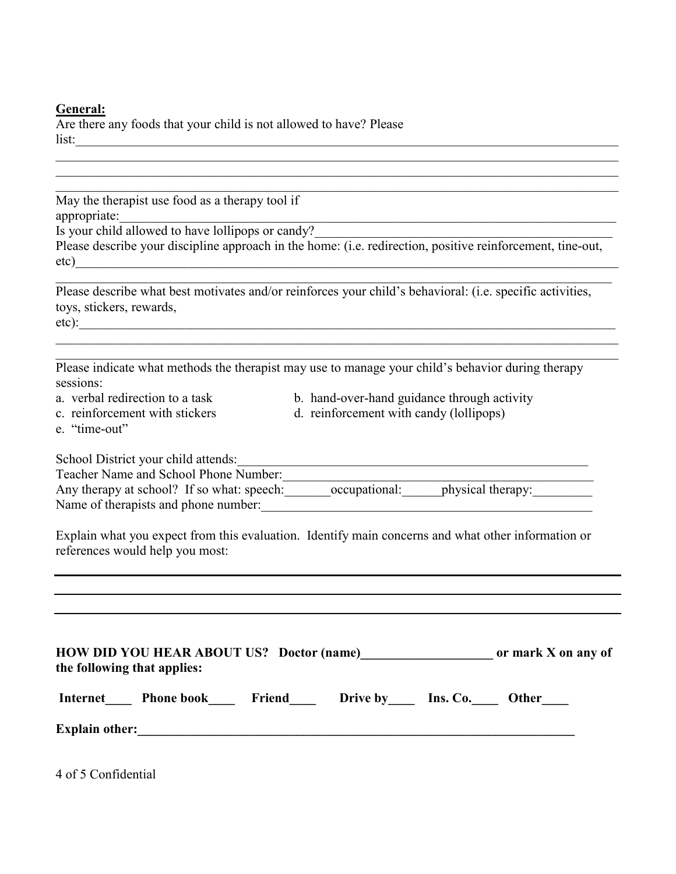### **General:**

Are there any foods that your child is not allowed to have? Please  $list:$ 

| May the therapist use food as a therapy tool if                                                                                                                                                                                                                                |  |  |  |
|--------------------------------------------------------------------------------------------------------------------------------------------------------------------------------------------------------------------------------------------------------------------------------|--|--|--|
| appropriate:<br>Is your child allowed to have lollipops or candy?<br>Please describe your discipline approach in the home: (i.e. redirection, positive reinforcement, tine-out,                                                                                                |  |  |  |
|                                                                                                                                                                                                                                                                                |  |  |  |
| $etc)$ and $etc)$ and $etc)$ and $etc)$ and $etc)$ and $etc)$ and $etc)$ and $etc)$ and $etc)$ and $etc)$ and $etc)$ and $etc)$ and $etc)$ and $etc)$ and $etc)$ and $etc)$ and $etc)$ and $etc)$ and $etc)$ and $etc)$ and $etc)$ and $etc)$ and $etc)$ and $etc)$ and $etc)$ |  |  |  |
| Please describe what best motivates and/or reinforces your child's behavioral: (i.e. specific activities,<br>toys, stickers, rewards,                                                                                                                                          |  |  |  |
| Please indicate what methods the therapist may use to manage your child's behavior during therapy<br>sessions:                                                                                                                                                                 |  |  |  |
| a. verbal redirection to a task<br>b. hand-over-hand guidance through activity                                                                                                                                                                                                 |  |  |  |
| d. reinforcement with candy (lollipops)<br>c. reinforcement with stickers<br>e. "time-out"                                                                                                                                                                                     |  |  |  |
| School District your child attends:                                                                                                                                                                                                                                            |  |  |  |
| Teacher Name and School Phone Number:                                                                                                                                                                                                                                          |  |  |  |
| Any therapy at school? If so what: speech: ________occupational: ______physical therapy: __________                                                                                                                                                                            |  |  |  |
| Explain what you expect from this evaluation. Identify main concerns and what other information or<br>references would help you most:                                                                                                                                          |  |  |  |
|                                                                                                                                                                                                                                                                                |  |  |  |
| <b>HOW DID YOU HEAR ABOUT US? Doctor (name)</b><br>or mark X on any of<br>the following that applies:                                                                                                                                                                          |  |  |  |
| Internet Phone book Friend Drive by Ins. Co. Other                                                                                                                                                                                                                             |  |  |  |
| Explain other:<br><u>Explain other:</u>                                                                                                                                                                                                                                        |  |  |  |
|                                                                                                                                                                                                                                                                                |  |  |  |

 $\_$  , and the set of the set of the set of the set of the set of the set of the set of the set of the set of the set of the set of the set of the set of the set of the set of the set of the set of the set of the set of th

4 of 5 Confidential